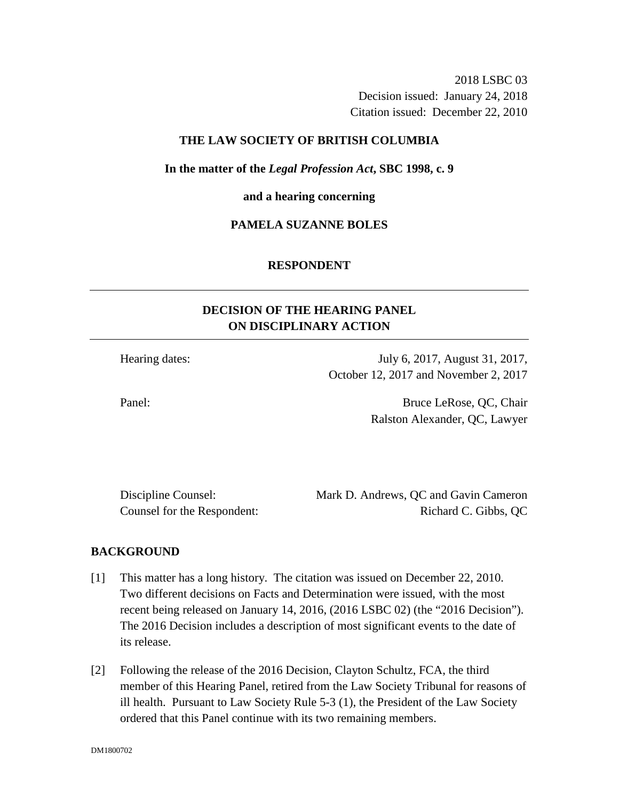2018 LSBC 03 Decision issued: January 24, 2018 Citation issued: December 22, 2010

## **THE LAW SOCIETY OF BRITISH COLUMBIA**

**In the matter of the** *Legal Profession Act***, SBC 1998, c. 9** 

**and a hearing concerning**

### **PAMELA SUZANNE BOLES**

#### **RESPONDENT**

# **DECISION OF THE HEARING PANEL ON DISCIPLINARY ACTION**

Hearing dates: July 6, 2017, August 31, 2017, October 12, 2017 and November 2, 2017

Panel: Bruce LeRose, OC, Chair Ralston Alexander, QC, Lawyer

Discipline Counsel: Mark D. Andrews, QC and Gavin Cameron Counsel for the Respondent: Richard C. Gibbs, QC

### **BACKGROUND**

- [1] This matter has a long history. The citation was issued on December 22, 2010. Two different decisions on Facts and Determination were issued, with the most recent being released on January 14, 2016, (2016 LSBC 02) (the "2016 Decision"). The 2016 Decision includes a description of most significant events to the date of its release.
- [2] Following the release of the 2016 Decision, Clayton Schultz, FCA, the third member of this Hearing Panel, retired from the Law Society Tribunal for reasons of ill health. Pursuant to Law Society Rule 5-3 (1), the President of the Law Society ordered that this Panel continue with its two remaining members.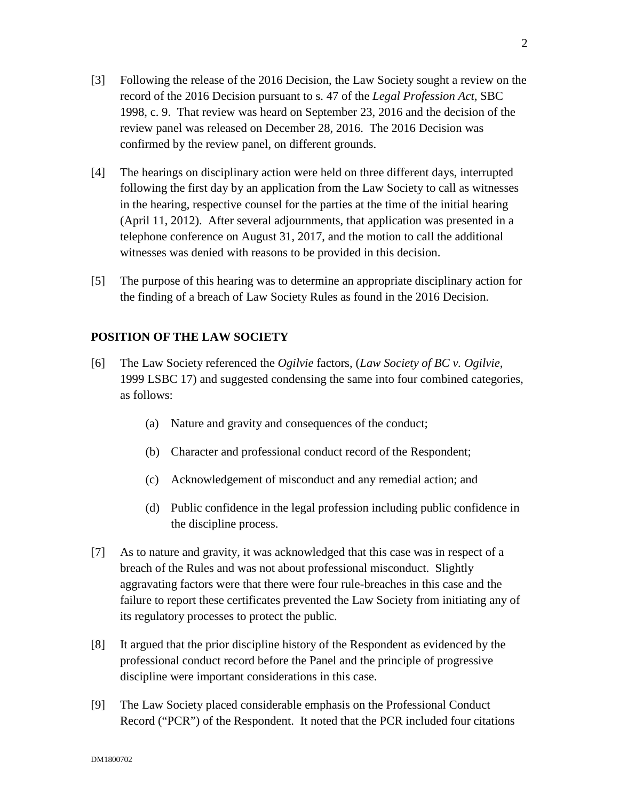- [3] Following the release of the 2016 Decision, the Law Society sought a review on the record of the 2016 Decision pursuant to s. 47 of the *Legal Profession Act*, SBC 1998, c. 9. That review was heard on September 23, 2016 and the decision of the review panel was released on December 28, 2016. The 2016 Decision was confirmed by the review panel, on different grounds.
- [4] The hearings on disciplinary action were held on three different days, interrupted following the first day by an application from the Law Society to call as witnesses in the hearing, respective counsel for the parties at the time of the initial hearing (April 11, 2012). After several adjournments, that application was presented in a telephone conference on August 31, 2017, and the motion to call the additional witnesses was denied with reasons to be provided in this decision.
- [5] The purpose of this hearing was to determine an appropriate disciplinary action for the finding of a breach of Law Society Rules as found in the 2016 Decision.

## **POSITION OF THE LAW SOCIETY**

- [6] The Law Society referenced the *Ogilvie* factors, (*Law Society of BC v. Ogilvie*, 1999 LSBC 17) and suggested condensing the same into four combined categories, as follows:
	- (a) Nature and gravity and consequences of the conduct;
	- (b) Character and professional conduct record of the Respondent;
	- (c) Acknowledgement of misconduct and any remedial action; and
	- (d) Public confidence in the legal profession including public confidence in the discipline process.
- [7] As to nature and gravity, it was acknowledged that this case was in respect of a breach of the Rules and was not about professional misconduct. Slightly aggravating factors were that there were four rule-breaches in this case and the failure to report these certificates prevented the Law Society from initiating any of its regulatory processes to protect the public.
- [8] It argued that the prior discipline history of the Respondent as evidenced by the professional conduct record before the Panel and the principle of progressive discipline were important considerations in this case.
- [9] The Law Society placed considerable emphasis on the Professional Conduct Record ("PCR") of the Respondent. It noted that the PCR included four citations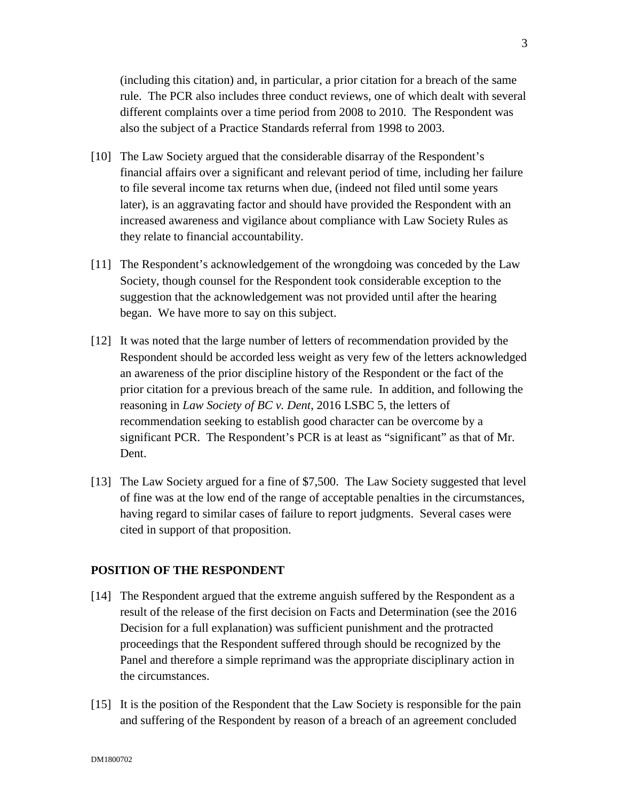(including this citation) and, in particular, a prior citation for a breach of the same rule. The PCR also includes three conduct reviews, one of which dealt with several different complaints over a time period from 2008 to 2010. The Respondent was also the subject of a Practice Standards referral from 1998 to 2003.

- [10] The Law Society argued that the considerable disarray of the Respondent's financial affairs over a significant and relevant period of time, including her failure to file several income tax returns when due, (indeed not filed until some years later), is an aggravating factor and should have provided the Respondent with an increased awareness and vigilance about compliance with Law Society Rules as they relate to financial accountability.
- [11] The Respondent's acknowledgement of the wrongdoing was conceded by the Law Society, though counsel for the Respondent took considerable exception to the suggestion that the acknowledgement was not provided until after the hearing began. We have more to say on this subject.
- [12] It was noted that the large number of letters of recommendation provided by the Respondent should be accorded less weight as very few of the letters acknowledged an awareness of the prior discipline history of the Respondent or the fact of the prior citation for a previous breach of the same rule. In addition, and following the reasoning in *Law Society of BC v. Dent*, 2016 LSBC 5, the letters of recommendation seeking to establish good character can be overcome by a significant PCR. The Respondent's PCR is at least as "significant" as that of Mr. Dent.
- [13] The Law Society argued for a fine of \$7,500. The Law Society suggested that level of fine was at the low end of the range of acceptable penalties in the circumstances, having regard to similar cases of failure to report judgments. Several cases were cited in support of that proposition.

#### **POSITION OF THE RESPONDENT**

- [14] The Respondent argued that the extreme anguish suffered by the Respondent as a result of the release of the first decision on Facts and Determination (see the 2016 Decision for a full explanation) was sufficient punishment and the protracted proceedings that the Respondent suffered through should be recognized by the Panel and therefore a simple reprimand was the appropriate disciplinary action in the circumstances.
- [15] It is the position of the Respondent that the Law Society is responsible for the pain and suffering of the Respondent by reason of a breach of an agreement concluded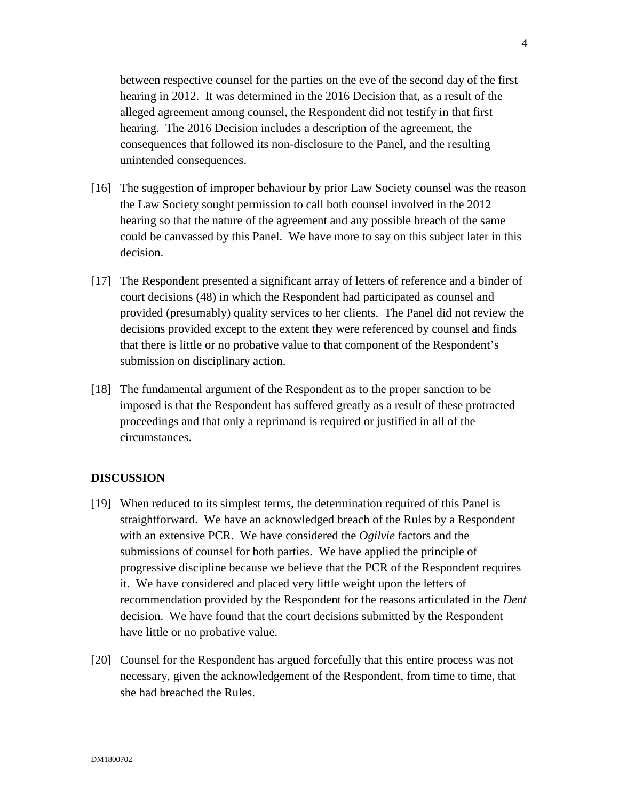between respective counsel for the parties on the eve of the second day of the first hearing in 2012. It was determined in the 2016 Decision that, as a result of the alleged agreement among counsel, the Respondent did not testify in that first hearing. The 2016 Decision includes a description of the agreement, the consequences that followed its non-disclosure to the Panel, and the resulting unintended consequences.

- [16] The suggestion of improper behaviour by prior Law Society counsel was the reason the Law Society sought permission to call both counsel involved in the 2012 hearing so that the nature of the agreement and any possible breach of the same could be canvassed by this Panel. We have more to say on this subject later in this decision.
- [17] The Respondent presented a significant array of letters of reference and a binder of court decisions (48) in which the Respondent had participated as counsel and provided (presumably) quality services to her clients. The Panel did not review the decisions provided except to the extent they were referenced by counsel and finds that there is little or no probative value to that component of the Respondent's submission on disciplinary action.
- [18] The fundamental argument of the Respondent as to the proper sanction to be imposed is that the Respondent has suffered greatly as a result of these protracted proceedings and that only a reprimand is required or justified in all of the circumstances.

#### **DISCUSSION**

- [19] When reduced to its simplest terms, the determination required of this Panel is straightforward. We have an acknowledged breach of the Rules by a Respondent with an extensive PCR. We have considered the *Ogilvie* factors and the submissions of counsel for both parties. We have applied the principle of progressive discipline because we believe that the PCR of the Respondent requires it. We have considered and placed very little weight upon the letters of recommendation provided by the Respondent for the reasons articulated in the *Dent* decision. We have found that the court decisions submitted by the Respondent have little or no probative value.
- [20] Counsel for the Respondent has argued forcefully that this entire process was not necessary, given the acknowledgement of the Respondent, from time to time, that she had breached the Rules.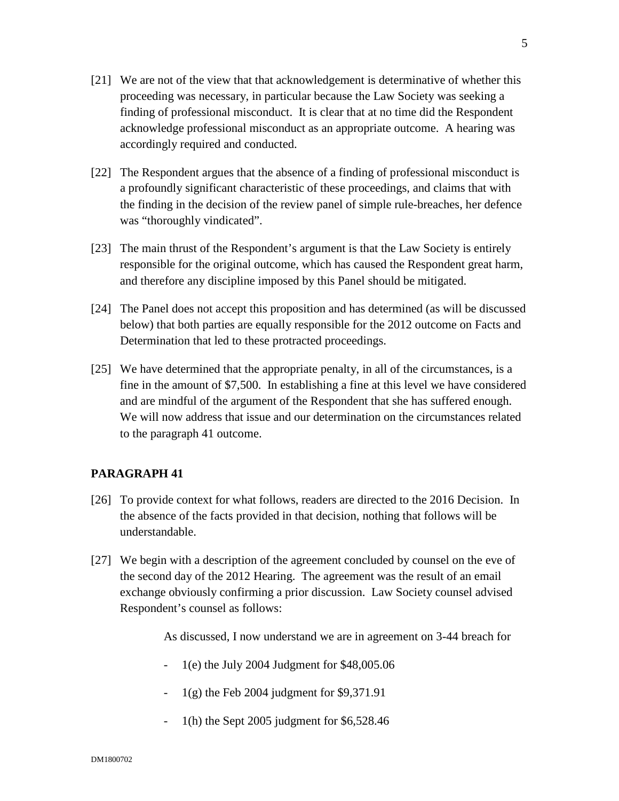- [21] We are not of the view that that acknowledgement is determinative of whether this proceeding was necessary, in particular because the Law Society was seeking a finding of professional misconduct. It is clear that at no time did the Respondent acknowledge professional misconduct as an appropriate outcome. A hearing was accordingly required and conducted.
- [22] The Respondent argues that the absence of a finding of professional misconduct is a profoundly significant characteristic of these proceedings, and claims that with the finding in the decision of the review panel of simple rule-breaches, her defence was "thoroughly vindicated".
- [23] The main thrust of the Respondent's argument is that the Law Society is entirely responsible for the original outcome, which has caused the Respondent great harm, and therefore any discipline imposed by this Panel should be mitigated.
- [24] The Panel does not accept this proposition and has determined (as will be discussed below) that both parties are equally responsible for the 2012 outcome on Facts and Determination that led to these protracted proceedings.
- [25] We have determined that the appropriate penalty, in all of the circumstances, is a fine in the amount of \$7,500. In establishing a fine at this level we have considered and are mindful of the argument of the Respondent that she has suffered enough. We will now address that issue and our determination on the circumstances related to the paragraph 41 outcome.

## **PARAGRAPH 41**

- [26] To provide context for what follows, readers are directed to the 2016 Decision. In the absence of the facts provided in that decision, nothing that follows will be understandable.
- [27] We begin with a description of the agreement concluded by counsel on the eve of the second day of the 2012 Hearing. The agreement was the result of an email exchange obviously confirming a prior discussion. Law Society counsel advised Respondent's counsel as follows:

As discussed, I now understand we are in agreement on 3-44 breach for

- 1(e) the July 2004 Judgment for \$48,005.06
- 1(g) the Feb 2004 judgment for \$9,371.91
- 1(h) the Sept 2005 judgment for \$6,528.46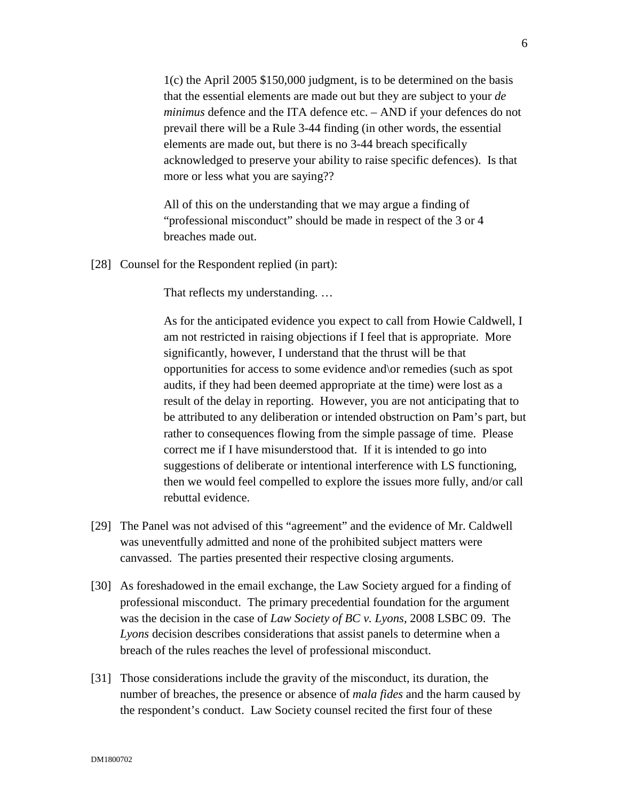1(c) the April 2005 \$150,000 judgment, is to be determined on the basis that the essential elements are made out but they are subject to your *de minimus* defence and the ITA defence etc. – AND if your defences do not prevail there will be a Rule 3-44 finding (in other words, the essential elements are made out, but there is no 3-44 breach specifically acknowledged to preserve your ability to raise specific defences). Is that more or less what you are saying??

All of this on the understanding that we may argue a finding of "professional misconduct" should be made in respect of the 3 or 4 breaches made out.

[28] Counsel for the Respondent replied (in part):

That reflects my understanding. …

As for the anticipated evidence you expect to call from Howie Caldwell, I am not restricted in raising objections if I feel that is appropriate. More significantly, however, I understand that the thrust will be that opportunities for access to some evidence and\or remedies (such as spot audits, if they had been deemed appropriate at the time) were lost as a result of the delay in reporting. However, you are not anticipating that to be attributed to any deliberation or intended obstruction on Pam's part, but rather to consequences flowing from the simple passage of time. Please correct me if I have misunderstood that. If it is intended to go into suggestions of deliberate or intentional interference with LS functioning, then we would feel compelled to explore the issues more fully, and/or call rebuttal evidence.

- [29] The Panel was not advised of this "agreement" and the evidence of Mr. Caldwell was uneventfully admitted and none of the prohibited subject matters were canvassed. The parties presented their respective closing arguments.
- [30] As foreshadowed in the email exchange, the Law Society argued for a finding of professional misconduct. The primary precedential foundation for the argument was the decision in the case of *Law Society of BC v. Lyons*, 2008 LSBC 09. The *Lyons* decision describes considerations that assist panels to determine when a breach of the rules reaches the level of professional misconduct.
- [31] Those considerations include the gravity of the misconduct, its duration, the number of breaches, the presence or absence of *mala fides* and the harm caused by the respondent's conduct. Law Society counsel recited the first four of these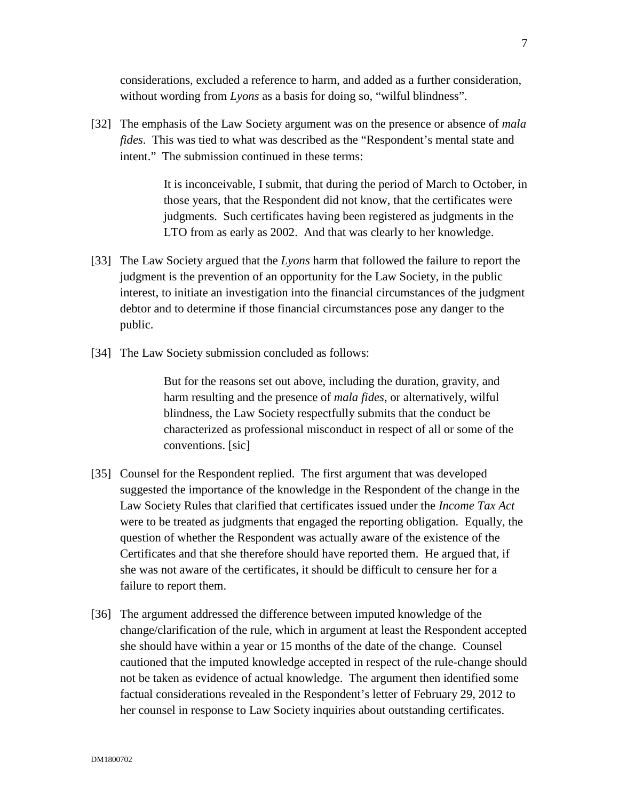considerations, excluded a reference to harm, and added as a further consideration, without wording from *Lyons* as a basis for doing so, "wilful blindness".

[32] The emphasis of the Law Society argument was on the presence or absence of *mala fides*. This was tied to what was described as the "Respondent's mental state and intent." The submission continued in these terms:

> It is inconceivable, I submit, that during the period of March to October, in those years, that the Respondent did not know, that the certificates were judgments. Such certificates having been registered as judgments in the LTO from as early as 2002. And that was clearly to her knowledge.

- [33] The Law Society argued that the *Lyons* harm that followed the failure to report the judgment is the prevention of an opportunity for the Law Society, in the public interest, to initiate an investigation into the financial circumstances of the judgment debtor and to determine if those financial circumstances pose any danger to the public.
- [34] The Law Society submission concluded as follows:

But for the reasons set out above, including the duration, gravity, and harm resulting and the presence of *mala fides*, or alternatively, wilful blindness, the Law Society respectfully submits that the conduct be characterized as professional misconduct in respect of all or some of the conventions. [sic]

- [35] Counsel for the Respondent replied. The first argument that was developed suggested the importance of the knowledge in the Respondent of the change in the Law Society Rules that clarified that certificates issued under the *Income Tax Act* were to be treated as judgments that engaged the reporting obligation. Equally, the question of whether the Respondent was actually aware of the existence of the Certificates and that she therefore should have reported them. He argued that, if she was not aware of the certificates, it should be difficult to censure her for a failure to report them.
- [36] The argument addressed the difference between imputed knowledge of the change/clarification of the rule, which in argument at least the Respondent accepted she should have within a year or 15 months of the date of the change. Counsel cautioned that the imputed knowledge accepted in respect of the rule-change should not be taken as evidence of actual knowledge. The argument then identified some factual considerations revealed in the Respondent's letter of February 29, 2012 to her counsel in response to Law Society inquiries about outstanding certificates.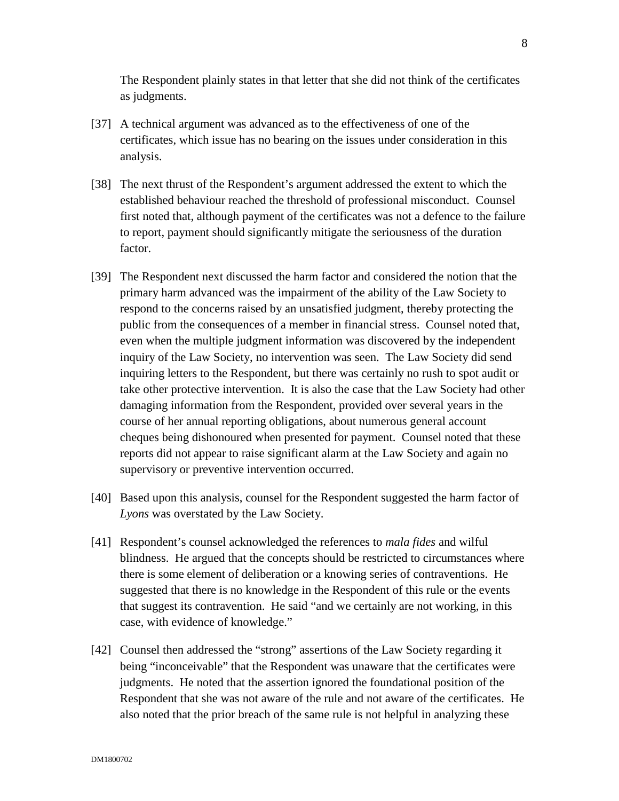The Respondent plainly states in that letter that she did not think of the certificates as judgments.

- [37] A technical argument was advanced as to the effectiveness of one of the certificates, which issue has no bearing on the issues under consideration in this analysis.
- [38] The next thrust of the Respondent's argument addressed the extent to which the established behaviour reached the threshold of professional misconduct. Counsel first noted that, although payment of the certificates was not a defence to the failure to report, payment should significantly mitigate the seriousness of the duration factor.
- [39] The Respondent next discussed the harm factor and considered the notion that the primary harm advanced was the impairment of the ability of the Law Society to respond to the concerns raised by an unsatisfied judgment, thereby protecting the public from the consequences of a member in financial stress. Counsel noted that, even when the multiple judgment information was discovered by the independent inquiry of the Law Society, no intervention was seen. The Law Society did send inquiring letters to the Respondent, but there was certainly no rush to spot audit or take other protective intervention. It is also the case that the Law Society had other damaging information from the Respondent, provided over several years in the course of her annual reporting obligations, about numerous general account cheques being dishonoured when presented for payment. Counsel noted that these reports did not appear to raise significant alarm at the Law Society and again no supervisory or preventive intervention occurred.
- [40] Based upon this analysis, counsel for the Respondent suggested the harm factor of *Lyons* was overstated by the Law Society.
- [41] Respondent's counsel acknowledged the references to *mala fides* and wilful blindness. He argued that the concepts should be restricted to circumstances where there is some element of deliberation or a knowing series of contraventions. He suggested that there is no knowledge in the Respondent of this rule or the events that suggest its contravention. He said "and we certainly are not working, in this case, with evidence of knowledge."
- [42] Counsel then addressed the "strong" assertions of the Law Society regarding it being "inconceivable" that the Respondent was unaware that the certificates were judgments. He noted that the assertion ignored the foundational position of the Respondent that she was not aware of the rule and not aware of the certificates. He also noted that the prior breach of the same rule is not helpful in analyzing these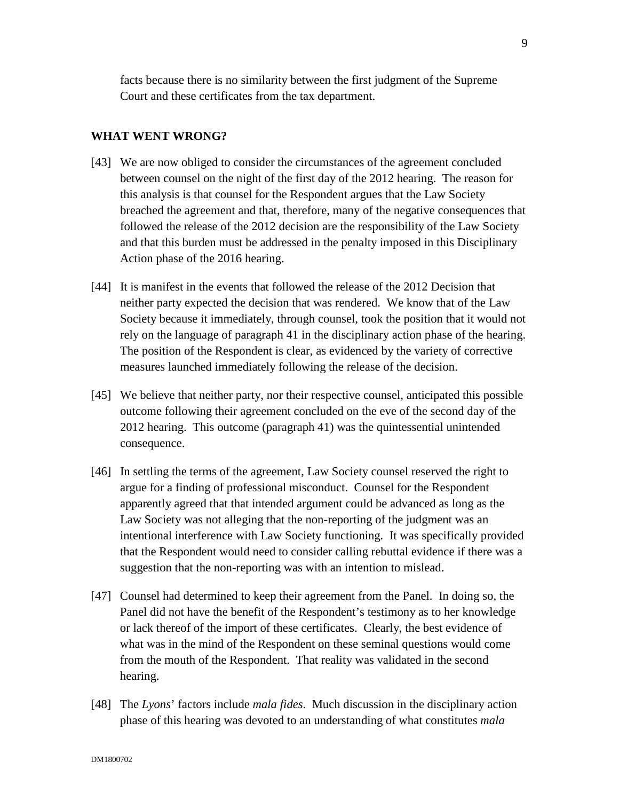facts because there is no similarity between the first judgment of the Supreme Court and these certificates from the tax department.

#### **WHAT WENT WRONG?**

- [43] We are now obliged to consider the circumstances of the agreement concluded between counsel on the night of the first day of the 2012 hearing. The reason for this analysis is that counsel for the Respondent argues that the Law Society breached the agreement and that, therefore, many of the negative consequences that followed the release of the 2012 decision are the responsibility of the Law Society and that this burden must be addressed in the penalty imposed in this Disciplinary Action phase of the 2016 hearing.
- [44] It is manifest in the events that followed the release of the 2012 Decision that neither party expected the decision that was rendered. We know that of the Law Society because it immediately, through counsel, took the position that it would not rely on the language of paragraph 41 in the disciplinary action phase of the hearing. The position of the Respondent is clear, as evidenced by the variety of corrective measures launched immediately following the release of the decision.
- [45] We believe that neither party, nor their respective counsel, anticipated this possible outcome following their agreement concluded on the eve of the second day of the 2012 hearing. This outcome (paragraph 41) was the quintessential unintended consequence.
- [46] In settling the terms of the agreement, Law Society counsel reserved the right to argue for a finding of professional misconduct. Counsel for the Respondent apparently agreed that that intended argument could be advanced as long as the Law Society was not alleging that the non-reporting of the judgment was an intentional interference with Law Society functioning. It was specifically provided that the Respondent would need to consider calling rebuttal evidence if there was a suggestion that the non-reporting was with an intention to mislead.
- [47] Counsel had determined to keep their agreement from the Panel. In doing so, the Panel did not have the benefit of the Respondent's testimony as to her knowledge or lack thereof of the import of these certificates. Clearly, the best evidence of what was in the mind of the Respondent on these seminal questions would come from the mouth of the Respondent. That reality was validated in the second hearing.
- [48] The *Lyons*' factors include *mala fides*. Much discussion in the disciplinary action phase of this hearing was devoted to an understanding of what constitutes *mala*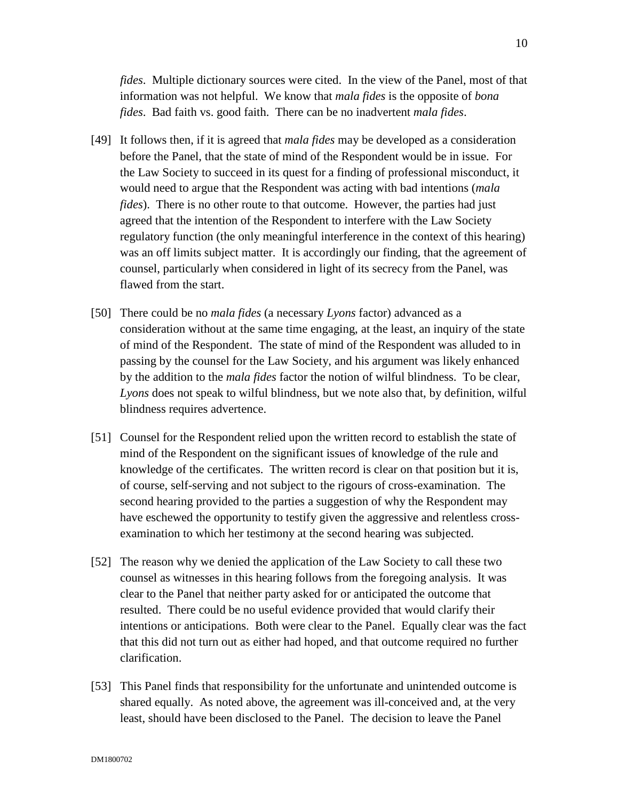*fides*. Multiple dictionary sources were cited. In the view of the Panel, most of that information was not helpful. We know that *mala fides* is the opposite of *bona fides*. Bad faith vs. good faith. There can be no inadvertent *mala fides*.

- [49] It follows then, if it is agreed that *mala fides* may be developed as a consideration before the Panel, that the state of mind of the Respondent would be in issue. For the Law Society to succeed in its quest for a finding of professional misconduct, it would need to argue that the Respondent was acting with bad intentions (*mala fides*). There is no other route to that outcome. However, the parties had just agreed that the intention of the Respondent to interfere with the Law Society regulatory function (the only meaningful interference in the context of this hearing) was an off limits subject matter. It is accordingly our finding, that the agreement of counsel, particularly when considered in light of its secrecy from the Panel, was flawed from the start.
- [50] There could be no *mala fides* (a necessary *Lyons* factor) advanced as a consideration without at the same time engaging, at the least, an inquiry of the state of mind of the Respondent. The state of mind of the Respondent was alluded to in passing by the counsel for the Law Society, and his argument was likely enhanced by the addition to the *mala fides* factor the notion of wilful blindness. To be clear, *Lyons* does not speak to wilful blindness, but we note also that, by definition, wilful blindness requires advertence.
- [51] Counsel for the Respondent relied upon the written record to establish the state of mind of the Respondent on the significant issues of knowledge of the rule and knowledge of the certificates. The written record is clear on that position but it is, of course, self-serving and not subject to the rigours of cross-examination. The second hearing provided to the parties a suggestion of why the Respondent may have eschewed the opportunity to testify given the aggressive and relentless crossexamination to which her testimony at the second hearing was subjected.
- [52] The reason why we denied the application of the Law Society to call these two counsel as witnesses in this hearing follows from the foregoing analysis. It was clear to the Panel that neither party asked for or anticipated the outcome that resulted. There could be no useful evidence provided that would clarify their intentions or anticipations. Both were clear to the Panel. Equally clear was the fact that this did not turn out as either had hoped, and that outcome required no further clarification.
- [53] This Panel finds that responsibility for the unfortunate and unintended outcome is shared equally. As noted above, the agreement was ill-conceived and, at the very least, should have been disclosed to the Panel. The decision to leave the Panel